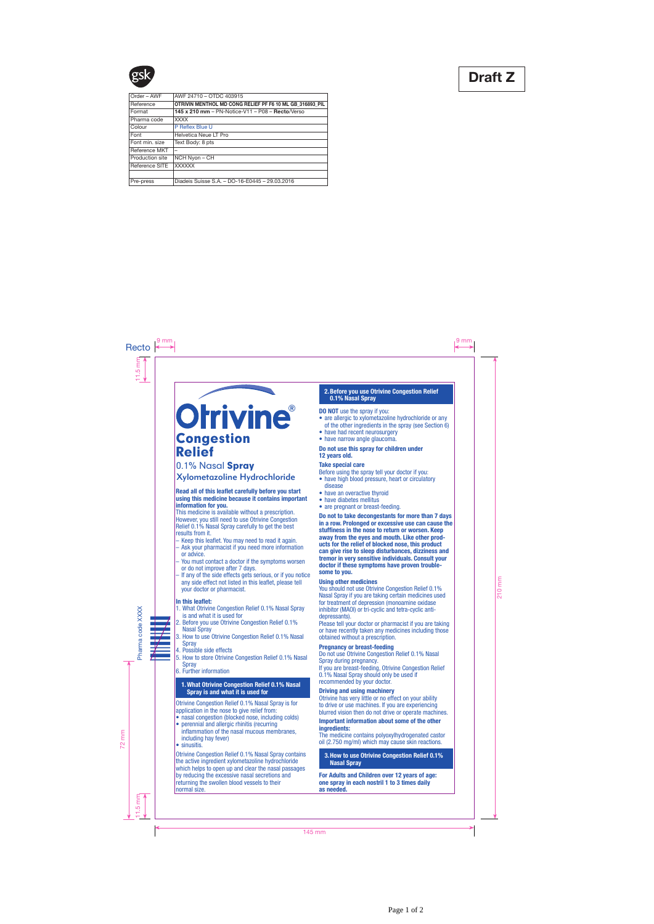# **Orrivine®** Congestion Relief

# 0.1% Nasal Spray

Xylometazoline Hydrochloride

# Read all of this leaflet carefully before you start using this medicine because it contains important information for you.

This medicine is available without a prescription. However, you still need to use Otrivine Congestion Relief 0.1% Nasal Spray carefully to get the best results from it.

- Keep this leaflet. You may need to read it again.
- Ask your pharmacist if you need more information or advice.
- You must contact a doctor if the symptoms worsen or do not improve after 7 days.
- If any of the side effects gets serious, or if you notice any side effect not listed in this leaflet, please tell your doctor or pharmacist.

# In this leaflet:

- 1. What Otrivine Congestion Relief 0.1% Nasal Spray is and what it is used for
- 2. Before you use Otrivine Congestion Relief 0.1% Nasal Spray
- 3. How to use Otrivine Congestion Relief 0.1% Nasal **Spray**
- 4. Possible side effects
- 5. How to store Otrivine Congestion Relief 0.1% Nasal **Spray**
- 6. Further information

# 1.What Otrivine Congestion Relief 0.1% Nasal Spray is and what it is used for

Otrivine Congestion Relief 0.1% Nasal Spray is for application in the nose to give relief from:

- nasal congestion (blocked nose, including colds)
- perennial and allergic rhinitis (recurring inflammation of the nasal mucous membranes, including hay fever)
- sinusitis.

Otrivine Congestion Relief 0.1% Nasal Spray contains the active ingredient xylometazoline hydrochloride which helps to open up and clear the nasal passages by reducing the excessive nasal secretions and returning the swollen blood vessels to their normal size.

# 2 .Before you use Otrivine Congestion Relief 0.1% Nasal Spray

## DO NOT use the spray if you:

- are allergic to xylometazoline hydrochloride or any of the other ingredients in the spray (see Section 6)
- have had recent neurosurgery
- have narrow angle glaucoma.

# Do not use this spray for children under 12 years old.

#### Take special care

Before using the spray tell your doctor if you:

- have high blood pressure, heart or circulatory disease
- have an overactive thyroid
- have diabetes mellitus
- are pregnant or breast-feeding.

Do not to take decongestants for more than 7 days in a row. Prolonged or excessive use can cause the stuffiness in the nose to return or worsen. Keep away from the eyes and mouth. Like other prod ucts for the relief of blocked nose, this product can give rise to sleep disturbances, dizziness and tremor in very sensitive individuals. Consult your doctor if these symptoms have proven trouble some to you.

# Using other medicines

You should not use Otrivine Congestion Relief 0.1% Nasal Spray if you are taking certain medicines used for treatment of depression (monoamine oxidase inhibitor (MAOI) or tri-cyclic and tetra-cyclic antidepressants).

Please tell your doctor or pharmacist if you are taking or have recently taken any medicines including those obtained without a prescription.

#### Pregnancy or breast-feeding

Do not use Otrivine Congestion Relief 0.1% Nasal Spray during pregnancy.

If you are breast-feeding, Otrivine Congestion Relief 0.1% Nasal Spray should only be used if recommended by your doctor.

# Driving and using machinery

Otrivine has very little or no effect on your ability to drive or use machines. If you are experiencing blurred vision then do not drive or operate machines.

# Important information about some of the other ingredients:

The medicine contains polyoxylhydrogenated castor oil (2.750 mg/ml) which may cause skin reactions.

3.How to use Otrivine Congestion Relief 0.1% Nasal Spray :

For Adults and Children over 12 years of age: one spray in each nostril 1 to 3 times daily as needed.